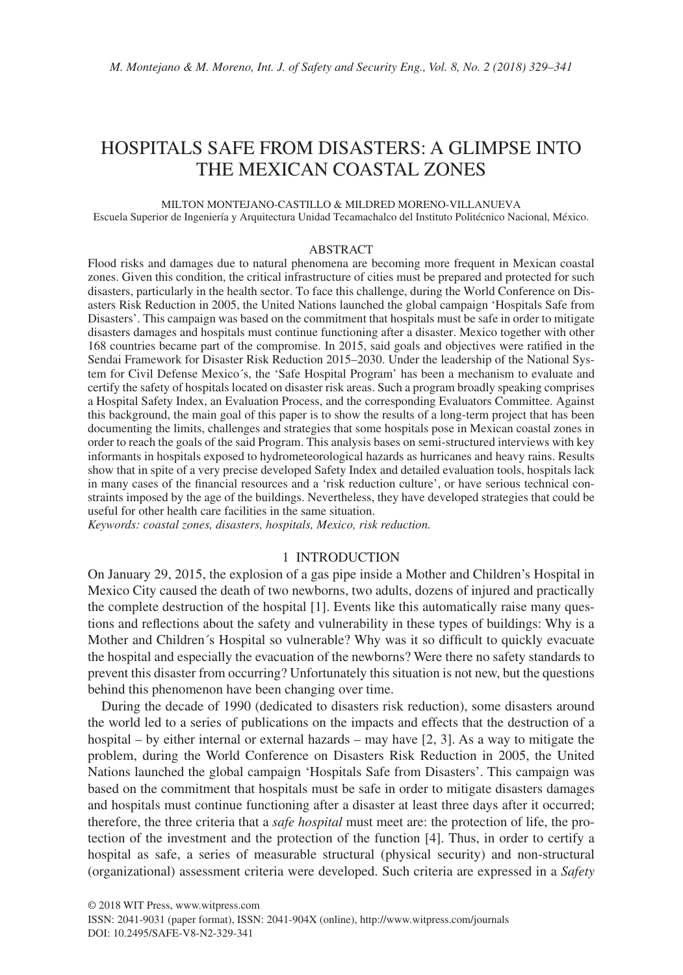# HOSPITALS SAFE FROM DISASTERS: A GLIMPSE INTO THE MEXICAN COASTAL ZONES

MILTON MONTEJANO-CASTILLO & MILDRED MORENO-VILLANUEVA Escuela Superior de Ingeniería y Arquitectura Unidad Tecamachalco del Instituto Politécnico Nacional, México.

#### ABSTRACT

Flood risks and damages due to natural phenomena are becoming more frequent in Mexican coastal zones. Given this condition, the critical infrastructure of cities must be prepared and protected for such disasters, particularly in the health sector. To face this challenge, during the World Conference on Disasters Risk Reduction in 2005, the United Nations launched the global campaign 'Hospitals Safe from Disasters'. This campaign was based on the commitment that hospitals must be safe in order to mitigate disasters damages and hospitals must continue functioning after a disaster. Mexico together with other 168 countries became part of the compromise. In 2015, said goals and objectives were ratified in the Sendai Framework for Disaster Risk Reduction 2015–2030. Under the leadership of the National System for Civil Defense Mexico´s, the 'Safe Hospital Program' has been a mechanism to evaluate and certify the safety of hospitals located on disaster risk areas. Such a program broadly speaking comprises a Hospital Safety Index, an Evaluation Process, and the corresponding Evaluators Committee. Against this background, the main goal of this paper is to show the results of a long-term project that has been documenting the limits, challenges and strategies that some hospitals pose in Mexican coastal zones in order to reach the goals of the said Program. This analysis bases on semi-structured interviews with key informants in hospitals exposed to hydrometeorological hazards as hurricanes and heavy rains. Results show that in spite of a very precise developed Safety Index and detailed evaluation tools, hospitals lack in many cases of the financial resources and a 'risk reduction culture', or have serious technical constraints imposed by the age of the buildings. Nevertheless, they have developed strategies that could be useful for other health care facilities in the same situation.

*Keywords: coastal zones, disasters, hospitals, Mexico, risk reduction.*

## 1 INTRODUCTION

On January 29, 2015, the explosion of a gas pipe inside a Mother and Children's Hospital in Mexico City caused the death of two newborns, two adults, dozens of injured and practically the complete destruction of the hospital [1]. Events like this automatically raise many questions and reflections about the safety and vulnerability in these types of buildings: Why is a Mother and Children´s Hospital so vulnerable? Why was it so difficult to quickly evacuate the hospital and especially the evacuation of the newborns? Were there no safety standards to prevent this disaster from occurring? Unfortunately this situation is not new, but the questions behind this phenomenon have been changing over time.

During the decade of 1990 (dedicated to disasters risk reduction), some disasters around the world led to a series of publications on the impacts and effects that the destruction of a hospital – by either internal or external hazards – may have [2, 3]. As a way to mitigate the problem, during the World Conference on Disasters Risk Reduction in 2005, the United Nations launched the global campaign 'Hospitals Safe from Disasters'. This campaign was based on the commitment that hospitals must be safe in order to mitigate disasters damages and hospitals must continue functioning after a disaster at least three days after it occurred; therefore, the three criteria that a *safe hospital* must meet are: the protection of life, the protection of the investment and the protection of the function [4]. Thus, in order to certify a hospital as safe, a series of measurable structural (physical security) and non-structural (organizational) assessment criteria were developed. Such criteria are expressed in a *Safety*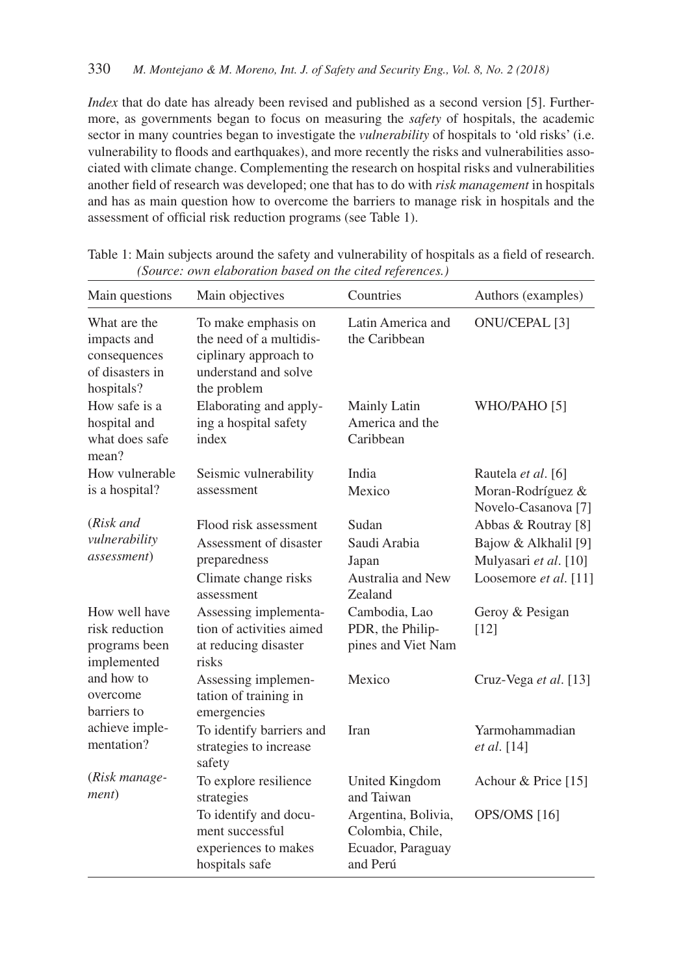*Index* that do date has already been revised and published as a second version [5]. Furthermore, as governments began to focus on measuring the *safety* of hospitals, the academic sector in many countries began to investigate the *vulnerability* of hospitals to 'old risks' (i.e. vulnerability to floods and earthquakes), and more recently the risks and vulnerabilities associated with climate change. Complementing the research on hospital risks and vulnerabilities another field of research was developed; one that has to do with *risk management* in hospitals and has as main question how to overcome the barriers to manage risk in hospitals and the assessment of official risk reduction programs (see Table 1).

| Main questions                                                               | Main objectives                                                                                                | Countries                                                                | Authors (examples)                                                                            |
|------------------------------------------------------------------------------|----------------------------------------------------------------------------------------------------------------|--------------------------------------------------------------------------|-----------------------------------------------------------------------------------------------|
| What are the<br>impacts and<br>consequences<br>of disasters in<br>hospitals? | To make emphasis on<br>the need of a multidis-<br>ciplinary approach to<br>understand and solve<br>the problem | Latin America and<br>the Caribbean                                       | ONU/CEPAL <sup>[3]</sup>                                                                      |
| How safe is a<br>hospital and<br>what does safe<br>mean?                     | Elaborating and apply-<br>ing a hospital safety<br>index                                                       | Mainly Latin<br>America and the<br>Caribbean                             | WHO/PAHO [5]                                                                                  |
| How vulnerable<br>is a hospital?                                             | Seismic vulnerability<br>assessment                                                                            | India<br>Mexico                                                          | Rautela et al. [6]<br>Moran-Rodríguez &<br>Novelo-Casanova <sup>[7]</sup>                     |
| (Risk and<br>vulnerability<br><i>assessment</i> )                            | Flood risk assessment<br>Assessment of disaster<br>preparedness<br>Climate change risks<br>assessment          | Sudan<br>Saudi Arabia<br>Japan<br>Australia and New<br>Zealand           | Abbas & Routray [8]<br>Bajow & Alkhalil [9]<br>Mulyasari et al. [10]<br>Loosemore et al. [11] |
| How well have<br>risk reduction<br>programs been<br>implemented              | Assessing implementa-<br>tion of activities aimed<br>at reducing disaster<br>risks                             | Cambodia, Lao<br>PDR, the Philip-<br>pines and Viet Nam                  | Geroy & Pesigan<br>[12]                                                                       |
| and how to<br>overcome<br>barriers to                                        | Assessing implemen-<br>tation of training in<br>emergencies                                                    | Mexico                                                                   | Cruz-Vega et al. [13]                                                                         |
| achieve imple-<br>mentation?                                                 | To identify barriers and<br>strategies to increase<br>safety                                                   | Iran                                                                     | Yarmohammadian<br>et al. [14]                                                                 |
| (Risk manage-<br>ment)                                                       | To explore resilience<br>strategies                                                                            | United Kingdom<br>and Taiwan                                             | Achour & Price [15]                                                                           |
|                                                                              | To identify and docu-<br>ment successful<br>experiences to makes<br>hospitals safe                             | Argentina, Bolivia,<br>Colombia, Chile,<br>Ecuador, Paraguay<br>and Perú | OPS/OMS [16]                                                                                  |

Table 1: Main subjects around the safety and vulnerability of hospitals as a field of research. *(Source: own elaboration based on the cited references.)*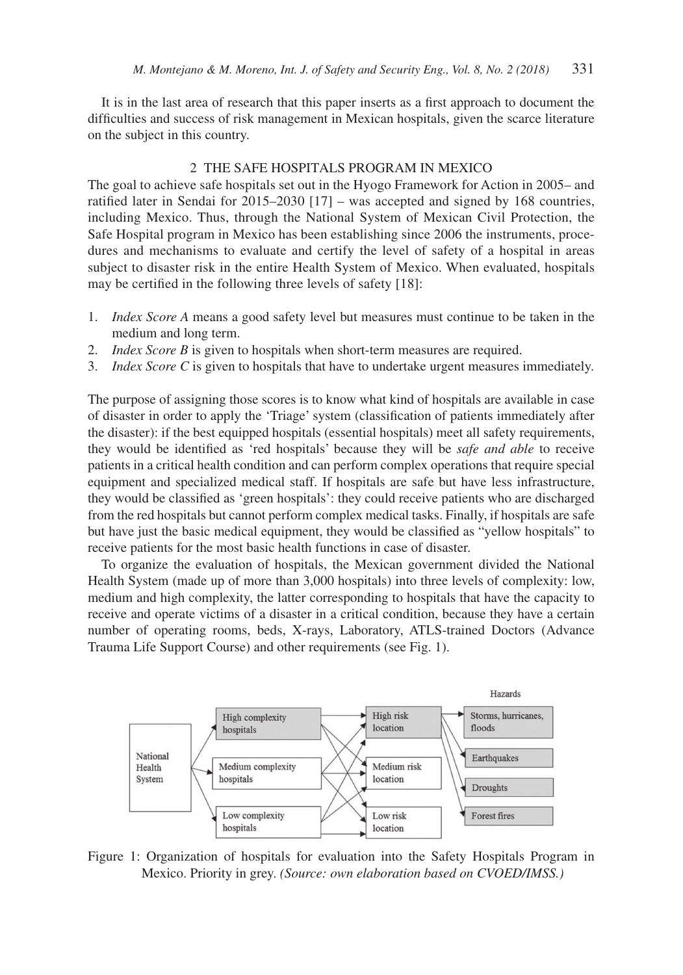It is in the last area of research that this paper inserts as a first approach to document the difficulties and success of risk management in Mexican hospitals, given the scarce literature on the subject in this country.

### 2 THE SAFE HOSPITALS PROGRAM IN MEXICO

The goal to achieve safe hospitals set out in the Hyogo Framework for Action in 2005– and ratified later in Sendai for 2015–2030 [17] – was accepted and signed by 168 countries, including Mexico. Thus, through the National System of Mexican Civil Protection, the Safe Hospital program in Mexico has been establishing since 2006 the instruments, procedures and mechanisms to evaluate and certify the level of safety of a hospital in areas subject to disaster risk in the entire Health System of Mexico. When evaluated, hospitals may be certified in the following three levels of safety [18]:

- 1. *Index Score A* means a good safety level but measures must continue to be taken in the medium and long term.
- 2. *Index Score B* is given to hospitals when short-term measures are required.
- 3. *Index Score C* is given to hospitals that have to undertake urgent measures immediately.

The purpose of assigning those scores is to know what kind of hospitals are available in case of disaster in order to apply the 'Triage' system (classification of patients immediately after the disaster): if the best equipped hospitals (essential hospitals) meet all safety requirements, they would be identified as 'red hospitals' because they will be *safe and able* to receive patients in a critical health condition and can perform complex operations that require special equipment and specialized medical staff. If hospitals are safe but have less infrastructure, they would be classified as 'green hospitals': they could receive patients who are discharged from the red hospitals but cannot perform complex medical tasks. Finally, if hospitals are safe but have just the basic medical equipment, they would be classified as "yellow hospitals" to receive patients for the most basic health functions in case of disaster.

To organize the evaluation of hospitals, the Mexican government divided the National Health System (made up of more than 3,000 hospitals) into three levels of complexity: low, medium and high complexity, the latter corresponding to hospitals that have the capacity to receive and operate victims of a disaster in a critical condition, because they have a certain number of operating rooms, beds, X-rays, Laboratory, ATLS-trained Doctors (Advance Trauma Life Support Course) and other requirements (see Fig. 1).



Figure 1: Organization of hospitals for evaluation into the Safety Hospitals Program in Mexico. Priority in grey. *(Source: own elaboration based on CVOED/IMSS.)*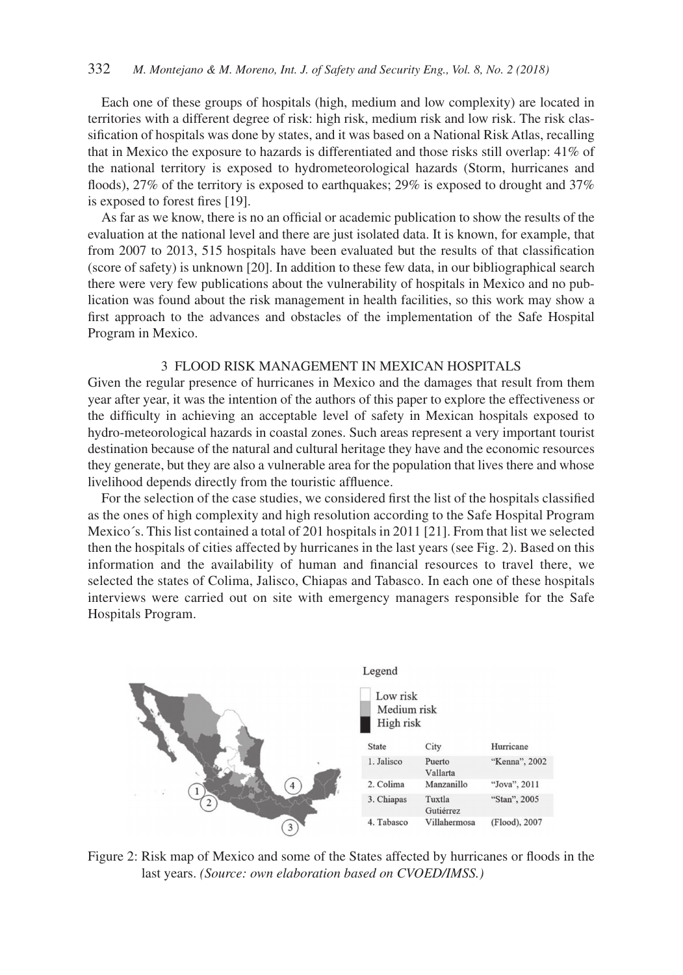Each one of these groups of hospitals (high, medium and low complexity) are located in territories with a different degree of risk: high risk, medium risk and low risk. The risk classification of hospitals was done by states, and it was based on a National Risk Atlas, recalling that in Mexico the exposure to hazards is differentiated and those risks still overlap: 41% of the national territory is exposed to hydrometeorological hazards (Storm, hurricanes and floods), 27% of the territory is exposed to earthquakes; 29% is exposed to drought and 37% is exposed to forest fires [19].

As far as we know, there is no an official or academic publication to show the results of the evaluation at the national level and there are just isolated data. It is known, for example, that from 2007 to 2013, 515 hospitals have been evaluated but the results of that classification (score of safety) is unknown [20]. In addition to these few data, in our bibliographical search there were very few publications about the vulnerability of hospitals in Mexico and no publication was found about the risk management in health facilities, so this work may show a first approach to the advances and obstacles of the implementation of the Safe Hospital Program in Mexico.

## 3 FLOOD RISK MANAGEMENT IN MEXICAN HOSPITALS

Given the regular presence of hurricanes in Mexico and the damages that result from them year after year, it was the intention of the authors of this paper to explore the effectiveness or the difficulty in achieving an acceptable level of safety in Mexican hospitals exposed to hydro-meteorological hazards in coastal zones. Such areas represent a very important tourist destination because of the natural and cultural heritage they have and the economic resources they generate, but they are also a vulnerable area for the population that lives there and whose livelihood depends directly from the touristic affluence.

For the selection of the case studies, we considered first the list of the hospitals classified as the ones of high complexity and high resolution according to the Safe Hospital Program Mexico´s. This list contained a total of 201 hospitals in 2011 [21]. From that list we selected then the hospitals of cities affected by hurricanes in the last years (see Fig. 2). Based on this information and the availability of human and financial resources to travel there, we selected the states of Colima, Jalisco, Chiapas and Tabasco. In each one of these hospitals interviews were carried out on site with emergency managers responsible for the Safe Hospitals Program.



Figure 2: Risk map of Mexico and some of the States affected by hurricanes or floods in the last years. *(Source: own elaboration based on CVOED/IMSS.)*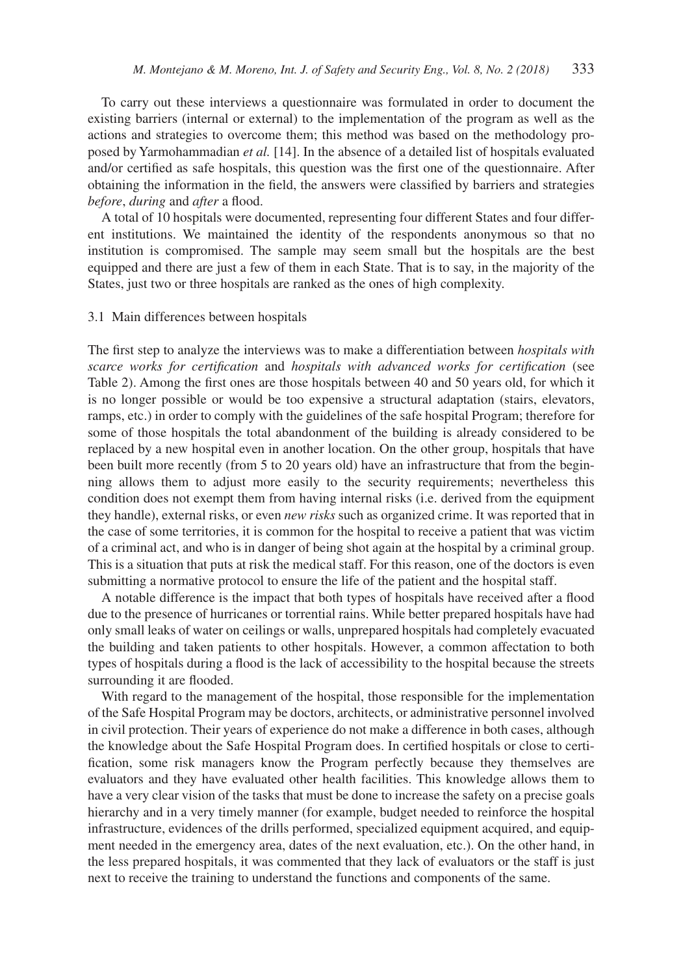To carry out these interviews a questionnaire was formulated in order to document the existing barriers (internal or external) to the implementation of the program as well as the actions and strategies to overcome them; this method was based on the methodology proposed by Yarmohammadian *et al.* [14]. In the absence of a detailed list of hospitals evaluated and/or certified as safe hospitals, this question was the first one of the questionnaire. After obtaining the information in the field, the answers were classified by barriers and strategies *before*, *during* and *after* a flood.

A total of 10 hospitals were documented, representing four different States and four different institutions. We maintained the identity of the respondents anonymous so that no institution is compromised. The sample may seem small but the hospitals are the best equipped and there are just a few of them in each State. That is to say, in the majority of the States, just two or three hospitals are ranked as the ones of high complexity.

#### 3.1 Main differences between hospitals

The first step to analyze the interviews was to make a differentiation between *hospitals with scarce works for certification* and *hospitals with advanced works for certification* (see Table 2). Among the first ones are those hospitals between 40 and 50 years old, for which it is no longer possible or would be too expensive a structural adaptation (stairs, elevators, ramps, etc.) in order to comply with the guidelines of the safe hospital Program; therefore for some of those hospitals the total abandonment of the building is already considered to be replaced by a new hospital even in another location. On the other group, hospitals that have been built more recently (from 5 to 20 years old) have an infrastructure that from the beginning allows them to adjust more easily to the security requirements; nevertheless this condition does not exempt them from having internal risks (i.e. derived from the equipment they handle), external risks, or even *new risks* such as organized crime. It was reported that in the case of some territories, it is common for the hospital to receive a patient that was victim of a criminal act, and who is in danger of being shot again at the hospital by a criminal group. This is a situation that puts at risk the medical staff. For this reason, one of the doctors is even submitting a normative protocol to ensure the life of the patient and the hospital staff.

A notable difference is the impact that both types of hospitals have received after a flood due to the presence of hurricanes or torrential rains. While better prepared hospitals have had only small leaks of water on ceilings or walls, unprepared hospitals had completely evacuated the building and taken patients to other hospitals. However, a common affectation to both types of hospitals during a flood is the lack of accessibility to the hospital because the streets surrounding it are flooded.

With regard to the management of the hospital, those responsible for the implementation of the Safe Hospital Program may be doctors, architects, or administrative personnel involved in civil protection. Their years of experience do not make a difference in both cases, although the knowledge about the Safe Hospital Program does. In certified hospitals or close to certification, some risk managers know the Program perfectly because they themselves are evaluators and they have evaluated other health facilities. This knowledge allows them to have a very clear vision of the tasks that must be done to increase the safety on a precise goals hierarchy and in a very timely manner (for example, budget needed to reinforce the hospital infrastructure, evidences of the drills performed, specialized equipment acquired, and equipment needed in the emergency area, dates of the next evaluation, etc.). On the other hand, in the less prepared hospitals, it was commented that they lack of evaluators or the staff is just next to receive the training to understand the functions and components of the same.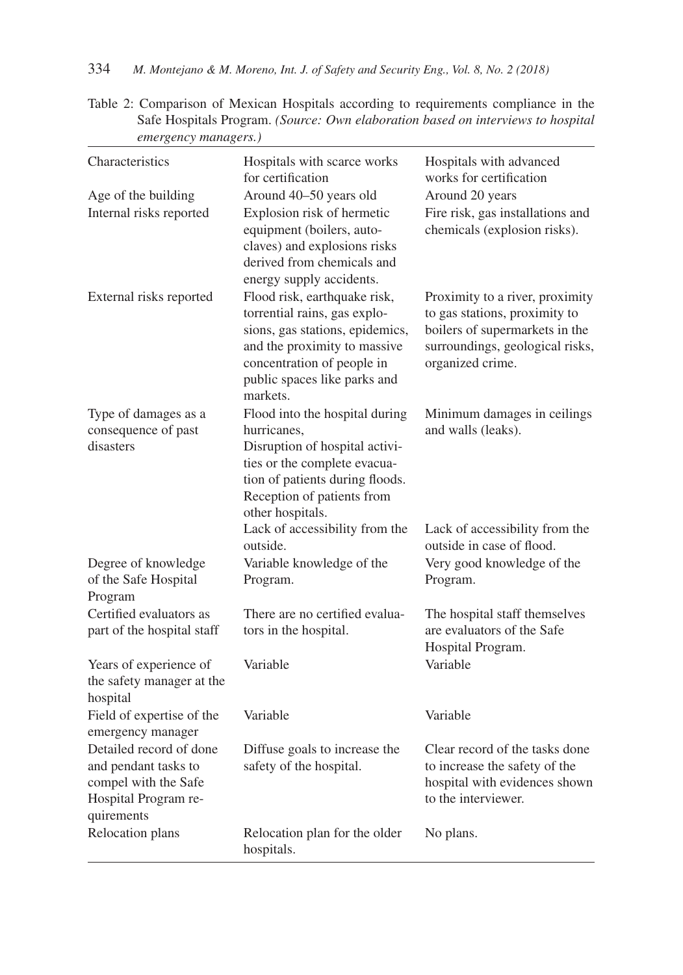Table 2: Comparison of Mexican Hospitals according to requirements compliance in the Safe Hospitals Program. *(Source: Own elaboration based on interviews to hospital emergency managers.)*

| Characteristics                                                                                               | Hospitals with scarce works<br>for certification                                                                                                                                                          | Hospitals with advanced<br>works for certification                                                                                                        |
|---------------------------------------------------------------------------------------------------------------|-----------------------------------------------------------------------------------------------------------------------------------------------------------------------------------------------------------|-----------------------------------------------------------------------------------------------------------------------------------------------------------|
| Age of the building<br>Internal risks reported                                                                | Around 40-50 years old<br>Explosion risk of hermetic<br>equipment (boilers, auto-<br>claves) and explosions risks<br>derived from chemicals and<br>energy supply accidents.                               | Around 20 years<br>Fire risk, gas installations and<br>chemicals (explosion risks).                                                                       |
| External risks reported                                                                                       | Flood risk, earthquake risk,<br>torrential rains, gas explo-<br>sions, gas stations, epidemics,<br>and the proximity to massive<br>concentration of people in<br>public spaces like parks and<br>markets. | Proximity to a river, proximity<br>to gas stations, proximity to<br>boilers of supermarkets in the<br>surroundings, geological risks,<br>organized crime. |
| Type of damages as a<br>consequence of past<br>disasters                                                      | Flood into the hospital during<br>hurricanes,<br>Disruption of hospital activi-<br>ties or the complete evacua-<br>tion of patients during floods.<br>Reception of patients from<br>other hospitals.      | Minimum damages in ceilings<br>and walls (leaks).                                                                                                         |
|                                                                                                               | Lack of accessibility from the<br>outside.                                                                                                                                                                | Lack of accessibility from the<br>outside in case of flood.                                                                                               |
| Degree of knowledge<br>of the Safe Hospital<br>Program                                                        | Variable knowledge of the<br>Program.                                                                                                                                                                     | Very good knowledge of the<br>Program.                                                                                                                    |
| Certified evaluators as<br>part of the hospital staff                                                         | There are no certified evalua-<br>tors in the hospital.                                                                                                                                                   | The hospital staff themselves<br>are evaluators of the Safe<br>Hospital Program.                                                                          |
| Years of experience of<br>the safety manager at the<br>hospital                                               | Variable                                                                                                                                                                                                  | Variable                                                                                                                                                  |
| Field of expertise of the<br>emergency manager                                                                | Variable                                                                                                                                                                                                  | Variable                                                                                                                                                  |
| Detailed record of done<br>and pendant tasks to<br>compel with the Safe<br>Hospital Program re-<br>quirements | Diffuse goals to increase the<br>safety of the hospital.                                                                                                                                                  | Clear record of the tasks done<br>to increase the safety of the<br>hospital with evidences shown<br>to the interviewer.                                   |
| Relocation plans                                                                                              | Relocation plan for the older<br>hospitals.                                                                                                                                                               | No plans.                                                                                                                                                 |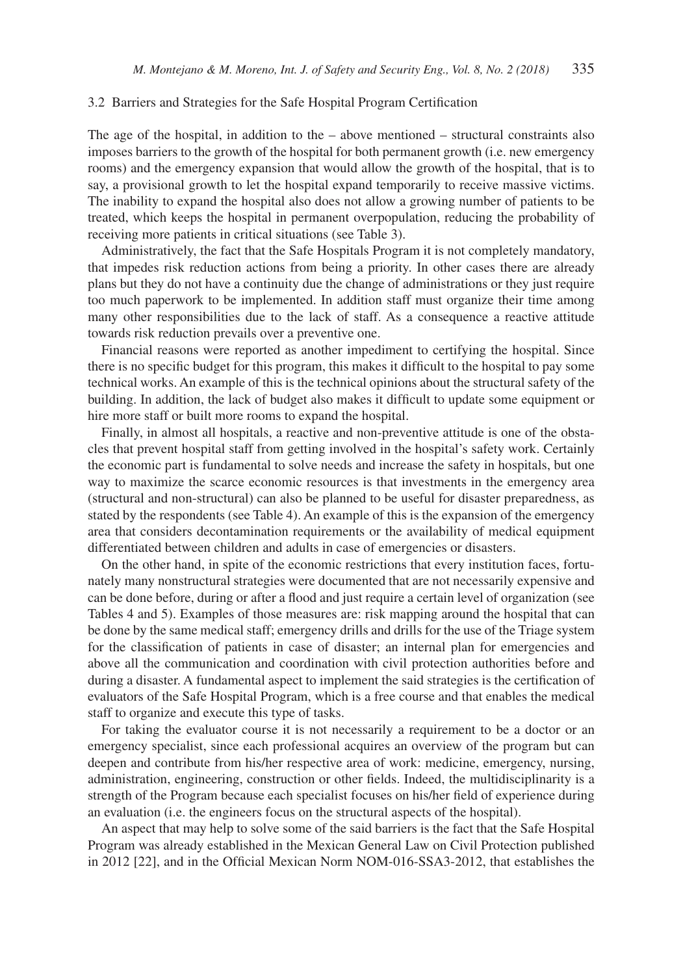#### 3.2 Barriers and Strategies for the Safe Hospital Program Certification

The age of the hospital, in addition to the – above mentioned – structural constraints also imposes barriers to the growth of the hospital for both permanent growth (i.e. new emergency rooms) and the emergency expansion that would allow the growth of the hospital, that is to say, a provisional growth to let the hospital expand temporarily to receive massive victims. The inability to expand the hospital also does not allow a growing number of patients to be treated, which keeps the hospital in permanent overpopulation, reducing the probability of receiving more patients in critical situations (see Table 3).

Administratively, the fact that the Safe Hospitals Program it is not completely mandatory, that impedes risk reduction actions from being a priority. In other cases there are already plans but they do not have a continuity due the change of administrations or they just require too much paperwork to be implemented. In addition staff must organize their time among many other responsibilities due to the lack of staff. As a consequence a reactive attitude towards risk reduction prevails over a preventive one.

Financial reasons were reported as another impediment to certifying the hospital. Since there is no specific budget for this program, this makes it difficult to the hospital to pay some technical works. An example of this is the technical opinions about the structural safety of the building. In addition, the lack of budget also makes it difficult to update some equipment or hire more staff or built more rooms to expand the hospital.

Finally, in almost all hospitals, a reactive and non-preventive attitude is one of the obstacles that prevent hospital staff from getting involved in the hospital's safety work. Certainly the economic part is fundamental to solve needs and increase the safety in hospitals, but one way to maximize the scarce economic resources is that investments in the emergency area (structural and non-structural) can also be planned to be useful for disaster preparedness, as stated by the respondents (see Table 4). An example of this is the expansion of the emergency area that considers decontamination requirements or the availability of medical equipment differentiated between children and adults in case of emergencies or disasters.

On the other hand, in spite of the economic restrictions that every institution faces, fortunately many nonstructural strategies were documented that are not necessarily expensive and can be done before, during or after a flood and just require a certain level of organization (see Tables 4 and 5). Examples of those measures are: risk mapping around the hospital that can be done by the same medical staff; emergency drills and drills for the use of the Triage system for the classification of patients in case of disaster; an internal plan for emergencies and above all the communication and coordination with civil protection authorities before and during a disaster. A fundamental aspect to implement the said strategies is the certification of evaluators of the Safe Hospital Program, which is a free course and that enables the medical staff to organize and execute this type of tasks.

For taking the evaluator course it is not necessarily a requirement to be a doctor or an emergency specialist, since each professional acquires an overview of the program but can deepen and contribute from his/her respective area of work: medicine, emergency, nursing, administration, engineering, construction or other fields. Indeed, the multidisciplinarity is a strength of the Program because each specialist focuses on his/her field of experience during an evaluation (i.e. the engineers focus on the structural aspects of the hospital).

An aspect that may help to solve some of the said barriers is the fact that the Safe Hospital Program was already established in the Mexican General Law on Civil Protection published in 2012 [22], and in the Official Mexican Norm NOM-016-SSA3-2012, that establishes the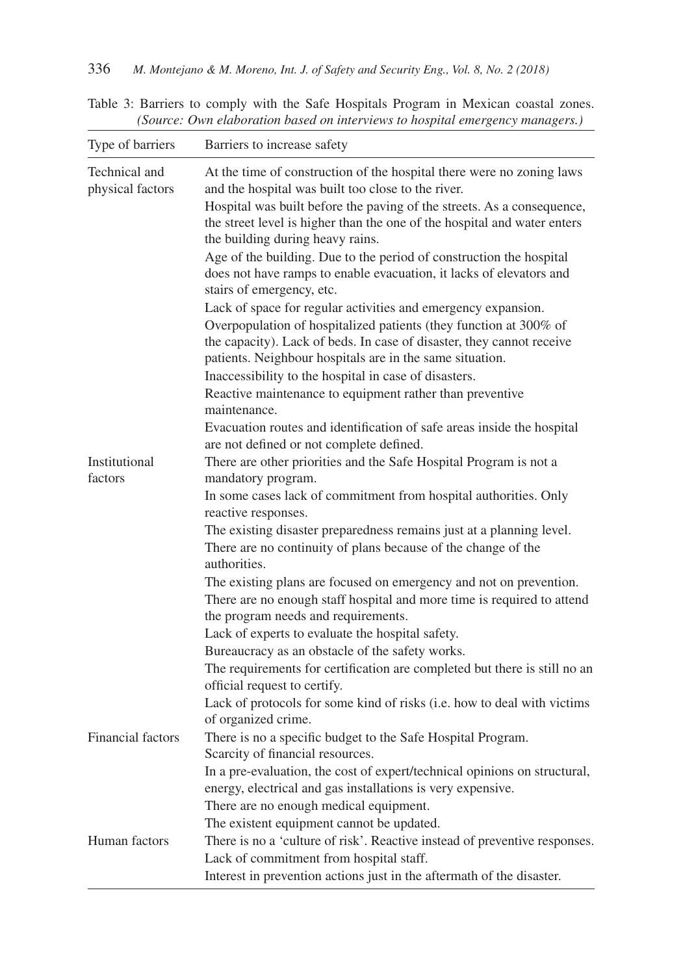Table 3: Barriers to comply with the Safe Hospitals Program in Mexican coastal zones. *(Source: Own elaboration based on interviews to hospital emergency managers.)*

| Type of barriers                  | Barriers to increase safety                                                                                                                                                                            |
|-----------------------------------|--------------------------------------------------------------------------------------------------------------------------------------------------------------------------------------------------------|
| Technical and<br>physical factors | At the time of construction of the hospital there were no zoning laws<br>and the hospital was built too close to the river.<br>Hospital was built before the paving of the streets. As a consequence,  |
|                                   | the street level is higher than the one of the hospital and water enters<br>the building during heavy rains.                                                                                           |
|                                   | Age of the building. Due to the period of construction the hospital<br>does not have ramps to enable evacuation, it lacks of elevators and<br>stairs of emergency, etc.                                |
|                                   | Lack of space for regular activities and emergency expansion.                                                                                                                                          |
|                                   | Overpopulation of hospitalized patients (they function at 300% of<br>the capacity). Lack of beds. In case of disaster, they cannot receive<br>patients. Neighbour hospitals are in the same situation. |
|                                   | Inaccessibility to the hospital in case of disasters.                                                                                                                                                  |
|                                   | Reactive maintenance to equipment rather than preventive<br>maintenance.                                                                                                                               |
|                                   | Evacuation routes and identification of safe areas inside the hospital<br>are not defined or not complete defined.                                                                                     |
| Institutional<br>factors          | There are other priorities and the Safe Hospital Program is not a                                                                                                                                      |
|                                   | mandatory program.                                                                                                                                                                                     |
|                                   | In some cases lack of commitment from hospital authorities. Only<br>reactive responses.                                                                                                                |
|                                   | The existing disaster preparedness remains just at a planning level.                                                                                                                                   |
|                                   | There are no continuity of plans because of the change of the<br>authorities.                                                                                                                          |
|                                   | The existing plans are focused on emergency and not on prevention.<br>There are no enough staff hospital and more time is required to attend<br>the program needs and requirements.                    |
|                                   | Lack of experts to evaluate the hospital safety.                                                                                                                                                       |
|                                   | Bureaucracy as an obstacle of the safety works.                                                                                                                                                        |
|                                   | The requirements for certification are completed but there is still no an<br>official request to certify.                                                                                              |
|                                   | Lack of protocols for some kind of risks (i.e. how to deal with victims<br>of organized crime.                                                                                                         |
| <b>Financial factors</b>          | There is no a specific budget to the Safe Hospital Program.<br>Scarcity of financial resources.                                                                                                        |
|                                   | In a pre-evaluation, the cost of expert/technical opinions on structural,<br>energy, electrical and gas installations is very expensive.                                                               |
|                                   | There are no enough medical equipment.                                                                                                                                                                 |
|                                   | The existent equipment cannot be updated.                                                                                                                                                              |
| Human factors                     | There is no a 'culture of risk'. Reactive instead of preventive responses.                                                                                                                             |
|                                   | Lack of commitment from hospital staff.                                                                                                                                                                |
|                                   | Interest in prevention actions just in the aftermath of the disaster.                                                                                                                                  |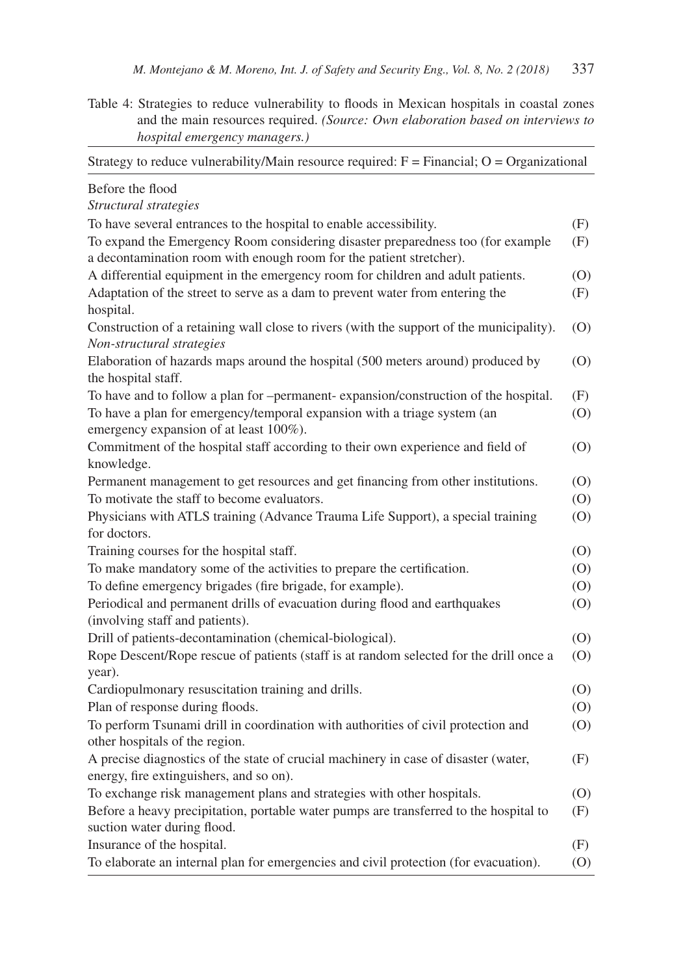Table 4: Strategies to reduce vulnerability to floods in Mexican hospitals in coastal zones and the main resources required. *(Source: Own elaboration based on interviews to hospital emergency managers.)*

| Strategy to reduce vulnerability/Main resource required: $F = Financial$ ; O = Organizational |     |
|-----------------------------------------------------------------------------------------------|-----|
| Before the flood                                                                              |     |
| Structural strategies                                                                         |     |
| To have several entrances to the hospital to enable accessibility.                            | (F) |
| To expand the Emergency Room considering disaster preparedness too (for example               | (F) |
| a decontamination room with enough room for the patient stretcher).                           |     |
| A differential equipment in the emergency room for children and adult patients.               | (0) |
| Adaptation of the street to serve as a dam to prevent water from entering the                 | (F) |
| hospital.                                                                                     |     |
| Construction of a retaining wall close to rivers (with the support of the municipality).      | (0) |
| Non-structural strategies                                                                     |     |
| Elaboration of hazards maps around the hospital (500 meters around) produced by               | (0) |
| the hospital staff.                                                                           |     |
| To have and to follow a plan for -permanent-expansion/construction of the hospital.           | (F) |
| To have a plan for emergency/temporal expansion with a triage system (an                      | (0) |
| emergency expansion of at least 100%).                                                        |     |
| Commitment of the hospital staff according to their own experience and field of               | (0) |
| knowledge.                                                                                    |     |
| Permanent management to get resources and get financing from other institutions.              | (0) |
| To motivate the staff to become evaluators.                                                   | (0) |
| Physicians with ATLS training (Advance Trauma Life Support), a special training               | (0) |
| for doctors.                                                                                  |     |
| Training courses for the hospital staff.                                                      | (0) |
| To make mandatory some of the activities to prepare the certification.                        | (0) |
| To define emergency brigades (fire brigade, for example).                                     | (0) |
| Periodical and permanent drills of evacuation during flood and earthquakes                    | (0) |
| (involving staff and patients).                                                               |     |
| Drill of patients-decontamination (chemical-biological).                                      | (0) |
| Rope Descent/Rope rescue of patients (staff is at random selected for the drill once a        | (O) |
| year).                                                                                        |     |
| Cardiopulmonary resuscitation training and drills.                                            | (0) |
| Plan of response during floods.                                                               | (0) |
| To perform Tsunami drill in coordination with authorities of civil protection and             | (0) |
| other hospitals of the region.                                                                |     |
| A precise diagnostics of the state of crucial machinery in case of disaster (water,           | (F) |
| energy, fire extinguishers, and so on).                                                       |     |
| To exchange risk management plans and strategies with other hospitals.                        | (0) |
| Before a heavy precipitation, portable water pumps are transferred to the hospital to         | (F) |
| suction water during flood.                                                                   |     |
| Insurance of the hospital.                                                                    | (F) |
| To elaborate an internal plan for emergencies and civil protection (for evacuation).          | (0) |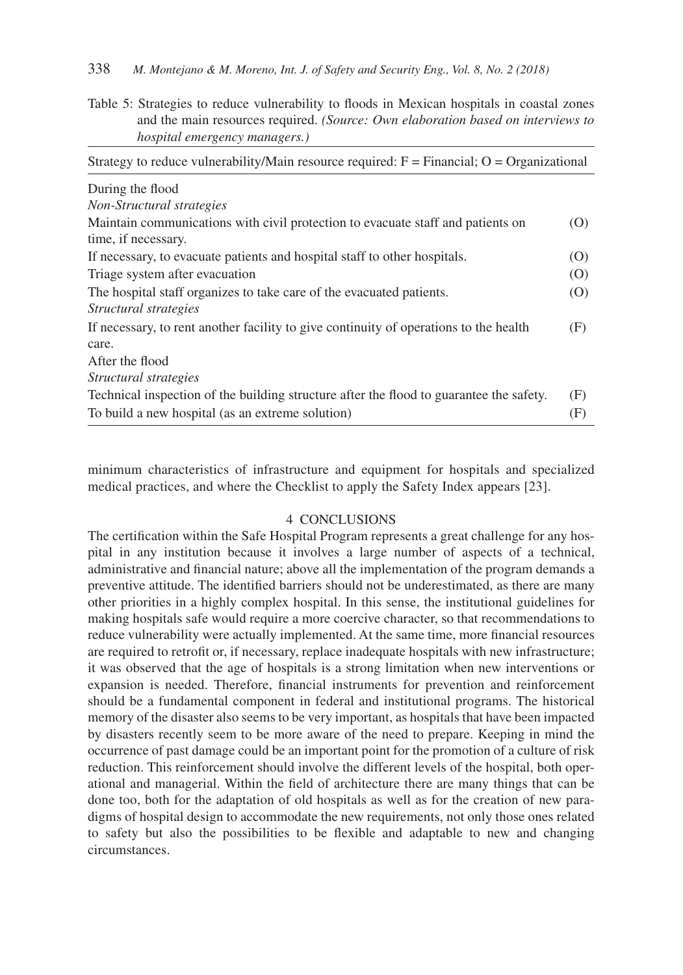Table 5: Strategies to reduce vulnerability to floods in Mexican hospitals in coastal zones and the main resources required. *(Source: Own elaboration based on interviews to hospital emergency managers.)*

| Strategy to reduce vulnerability/Main resource required: $F = Financial$ ; $O = Organizational$                                             |            |  |  |  |
|---------------------------------------------------------------------------------------------------------------------------------------------|------------|--|--|--|
| During the flood                                                                                                                            |            |  |  |  |
| Non-Structural strategies                                                                                                                   |            |  |  |  |
| Maintain communications with civil protection to evacuate staff and patients on<br>time, if necessary.                                      | (0)        |  |  |  |
| If necessary, to evacuate patients and hospital staff to other hospitals.                                                                   | (0)        |  |  |  |
| Triage system after evacuation                                                                                                              | (0)        |  |  |  |
| The hospital staff organizes to take care of the evacuated patients.<br>Structural strategies                                               | (O)        |  |  |  |
| If necessary, to rent another facility to give continuity of operations to the health<br>care.                                              | (F)        |  |  |  |
| After the flood                                                                                                                             |            |  |  |  |
| Structural strategies                                                                                                                       |            |  |  |  |
| Technical inspection of the building structure after the flood to guarantee the safety.<br>To build a new hospital (as an extreme solution) | (F)<br>(F) |  |  |  |

minimum characteristics of infrastructure and equipment for hospitals and specialized medical practices, and where the Checklist to apply the Safety Index appears [23].

#### 4 CONCLUSIONS

The certification within the Safe Hospital Program represents a great challenge for any hospital in any institution because it involves a large number of aspects of a technical, administrative and financial nature; above all the implementation of the program demands a preventive attitude. The identified barriers should not be underestimated, as there are many other priorities in a highly complex hospital. In this sense, the institutional guidelines for making hospitals safe would require a more coercive character, so that recommendations to reduce vulnerability were actually implemented. At the same time, more financial resources are required to retrofit or, if necessary, replace inadequate hospitals with new infrastructure; it was observed that the age of hospitals is a strong limitation when new interventions or expansion is needed. Therefore, financial instruments for prevention and reinforcement should be a fundamental component in federal and institutional programs. The historical memory of the disaster also seems to be very important, as hospitals that have been impacted by disasters recently seem to be more aware of the need to prepare. Keeping in mind the occurrence of past damage could be an important point for the promotion of a culture of risk reduction. This reinforcement should involve the different levels of the hospital, both operational and managerial. Within the field of architecture there are many things that can be done too, both for the adaptation of old hospitals as well as for the creation of new paradigms of hospital design to accommodate the new requirements, not only those ones related to safety but also the possibilities to be flexible and adaptable to new and changing circumstances.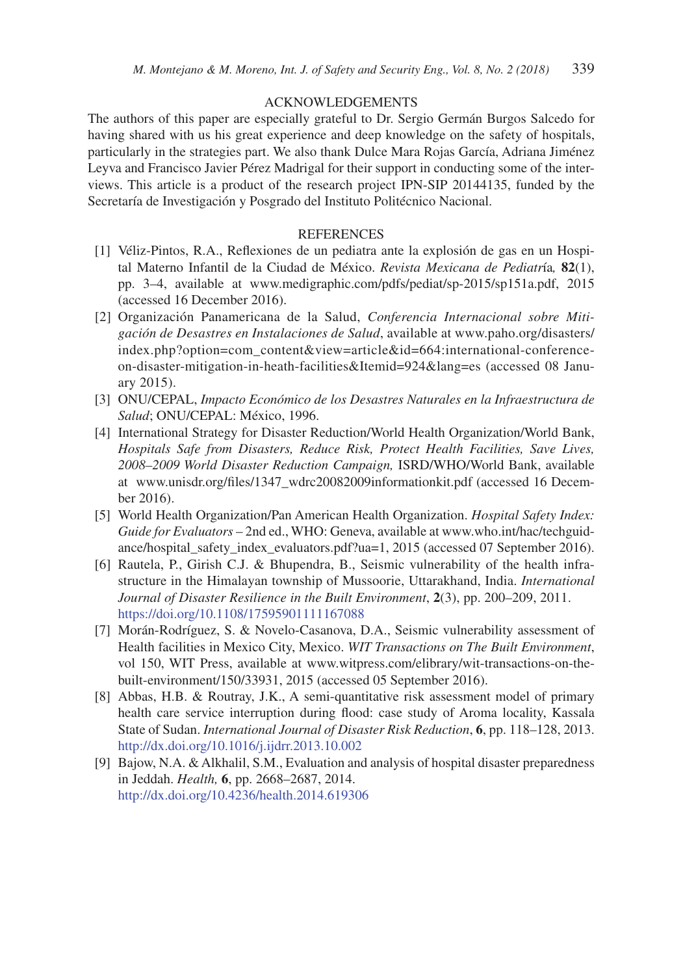### ACKNOWLEDGEMENTS

The authors of this paper are especially grateful to Dr. Sergio Germán Burgos Salcedo for having shared with us his great experience and deep knowledge on the safety of hospitals, particularly in the strategies part. We also thank Dulce Mara Rojas García, Adriana Jiménez Leyva and Francisco Javier Pérez Madrigal for their support in conducting some of the interviews. This article is a product of the research project IPN-SIP 20144135, funded by the Secretaría de Investigación y Posgrado del Instituto Politécnico Nacional.

#### **REFERENCES**

- [1] Véliz-Pintos, R.A., Reflexiones de un pediatra ante la explosión de gas en un Hospital Materno Infantil de la Ciudad de México. *Revista Mexicana de Pediatr*ía*,* **82**(1), pp. 3–4, available at www.medigraphic.com/pdfs/pediat/sp-2015/sp151a.pdf, 2015 (accessed 16 December 2016).
- [2] Organización Panamericana de la Salud, *Conferencia Internacional sobre Mitigación de Desastres en Instalaciones de Salud*, available at www.paho.org/disasters/ index.php?option=com\_content&view=article&id=664:international-conferenceon-disaster-mitigation-in-heath-facilities&Itemid=924&lang=es (accessed 08 January 2015).
- [3] ONU/CEPAL, *Impacto Económico de los Desastres Naturales en la Infraestructura de Salud*; ONU/CEPAL: México, 1996.
- [4] International Strategy for Disaster Reduction/World Health Organization/World Bank, *Hospitals Safe from Disasters, Reduce Risk, Protect Health Facilities, Save Lives, 2008–2009 World Disaster Reduction Campaign,* ISRD/WHO/World Bank, available at www.unisdr.org/files/1347\_wdrc20082009informationkit.pdf (accessed 16 December 2016).
- [5] World Health Organization/Pan American Health Organization. *Hospital Safety Index: Guide for Evaluators* – 2nd ed., WHO: Geneva, available at www.who.int/hac/techguidance/hospital\_safety\_index\_evaluators.pdf?ua=1, 2015 (accessed 07 September 2016).
- [6] Rautela, P., Girish C.J. & Bhupendra, B., Seismic vulnerability of the health infrastructure in the Himalayan township of Mussoorie, Uttarakhand, India. *International Journal of Disaster Resilience in the Built Environment*, **2**(3), pp. 200–209, 2011. https://doi.org/10.1108/17595901111167088
- [7] Morán-Rodríguez, S. & Novelo-Casanova, D.A., Seismic vulnerability assessment of Health facilities in Mexico City, Mexico. *WIT Transactions on The Built Environment*, vol 150, WIT Press, available at www.witpress.com/elibrary/wit-transactions-on-thebuilt-environment/150/33931, 2015 (accessed 05 September 2016).
- [8] Abbas, H.B. & Routray, J.K., A semi-quantitative risk assessment model of primary health care service interruption during flood: case study of Aroma locality, Kassala State of Sudan. *International Journal of Disaster Risk Reduction*, **6**, pp. 118–128, 2013. http://dx.doi.org/10.1016/j.ijdrr.2013.10.002
- [9] Bajow, N.A. & Alkhalil, S.M., Evaluation and analysis of hospital disaster preparedness in Jeddah. *Health,* **6**, pp. 2668–2687, 2014. http://dx.doi.org/10.4236/health.2014.619306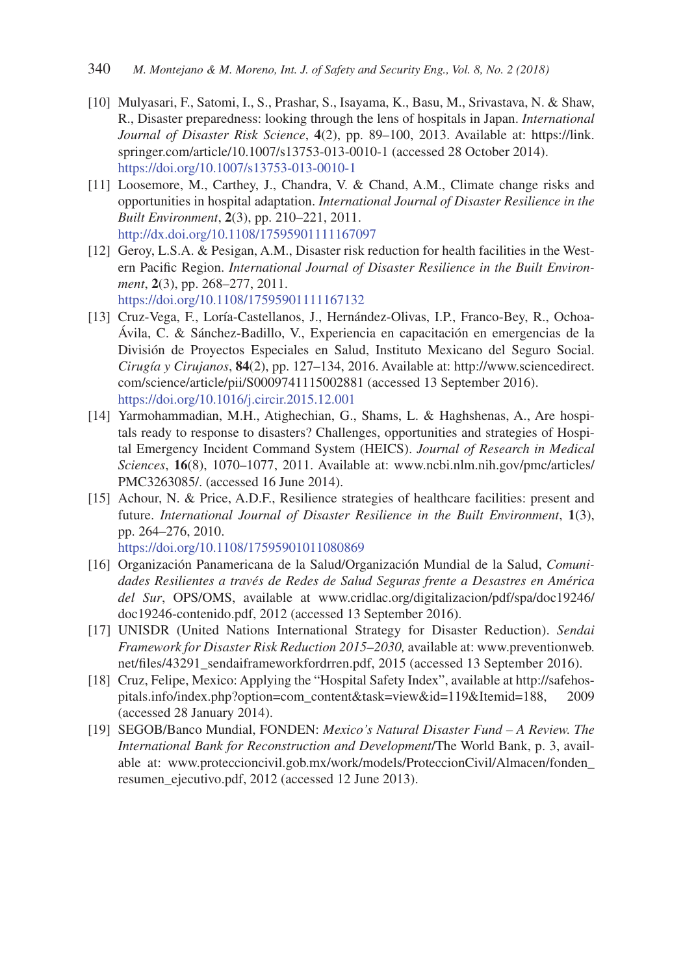- [10] Mulyasari, F., Satomi, I., S., Prashar, S., Isayama, K., Basu, M., Srivastava, N. & Shaw, R., Disaster preparedness: looking through the lens of hospitals in Japan. *International Journal of Disaster Risk Science*, **4**(2), pp. 89–100, 2013. Available at: https://link. springer.com/article/10.1007/s13753-013-0010-1 (accessed 28 October 2014). https://doi.org/10.1007/s13753-013-0010-1
- [11] Loosemore, M., Carthey, J., Chandra, V. & Chand, A.M., Climate change risks and opportunities in hospital adaptation. *International Journal of Disaster Resilience in the Built Environment*, **2**(3), pp. 210–221, 2011. http://dx.doi.org/10.1108/17595901111167097
- [12] Geroy, L.S.A. & Pesigan, A.M., Disaster risk reduction for health facilities in the Western Pacific Region. *International Journal of Disaster Resilience in the Built Environment*, **2**(3), pp. 268–277, 2011. https://doi.org/10.1108/17595901111167132
- [13] Cruz-Vega, F., Loría-Castellanos, J., Hernández-Olivas, I.P., Franco-Bey, R., Ochoa-Ávila, C. & Sánchez-Badillo, V., Experiencia en capacitación en emergencias de la División de Proyectos Especiales en Salud, Instituto Mexicano del Seguro Social. *Cirugía y Cirujanos*, **84**(2), pp. 127–134, 2016. Available at: http://www.sciencedirect. com/science/article/pii/S0009741115002881 (accessed 13 September 2016). https://doi.org/10.1016/j.circir.2015.12.001
- [14] Yarmohammadian, M.H., Atighechian, G., Shams, L. & Haghshenas, A., Are hospitals ready to response to disasters? Challenges, opportunities and strategies of Hospital Emergency Incident Command System (HEICS). *Journal of Research in Medical Sciences*, **16**(8), 1070–1077, 2011. Available at: www.ncbi.nlm.nih.gov/pmc/articles/ PMC3263085/. (accessed 16 June 2014).
- [15] Achour, N. & Price, A.D.F., Resilience strategies of healthcare facilities: present and future. *International Journal of Disaster Resilience in the Built Environment*, **1**(3), pp. 264–276, 2010. https://doi.org/10.1108/17595901011080869
- [16] Organización Panamericana de la Salud/Organización Mundial de la Salud, *Comunidades Resilientes a través de Redes de Salud Seguras frente a Desastres en América del Sur*, OPS/OMS, available at www.cridlac.org/digitalizacion/pdf/spa/doc19246/ doc19246-contenido.pdf, 2012 (accessed 13 September 2016).
- [17] UNISDR (United Nations International Strategy for Disaster Reduction). *Sendai Framework for Disaster Risk Reduction 2015–2030,* available at: www.preventionweb. net/files/43291\_sendaiframeworkfordrren.pdf, 2015 (accessed 13 September 2016).
- [18] Cruz, Felipe, Mexico: Applying the "Hospital Safety Index", available at http://safehospitals.info/index.php?option=com\_content&task=view&id=119&Itemid=188, 2009 (accessed 28 January 2014).
- [19] SEGOB/Banco Mundial, FONDEN: *Mexico's Natural Disaster Fund A Review. The International Bank for Reconstruction and Development*/The World Bank, p. 3, available at: www.proteccioncivil.gob.mx/work/models/ProteccionCivil/Almacen/fonden\_ resumen\_ejecutivo.pdf, 2012 (accessed 12 June 2013).